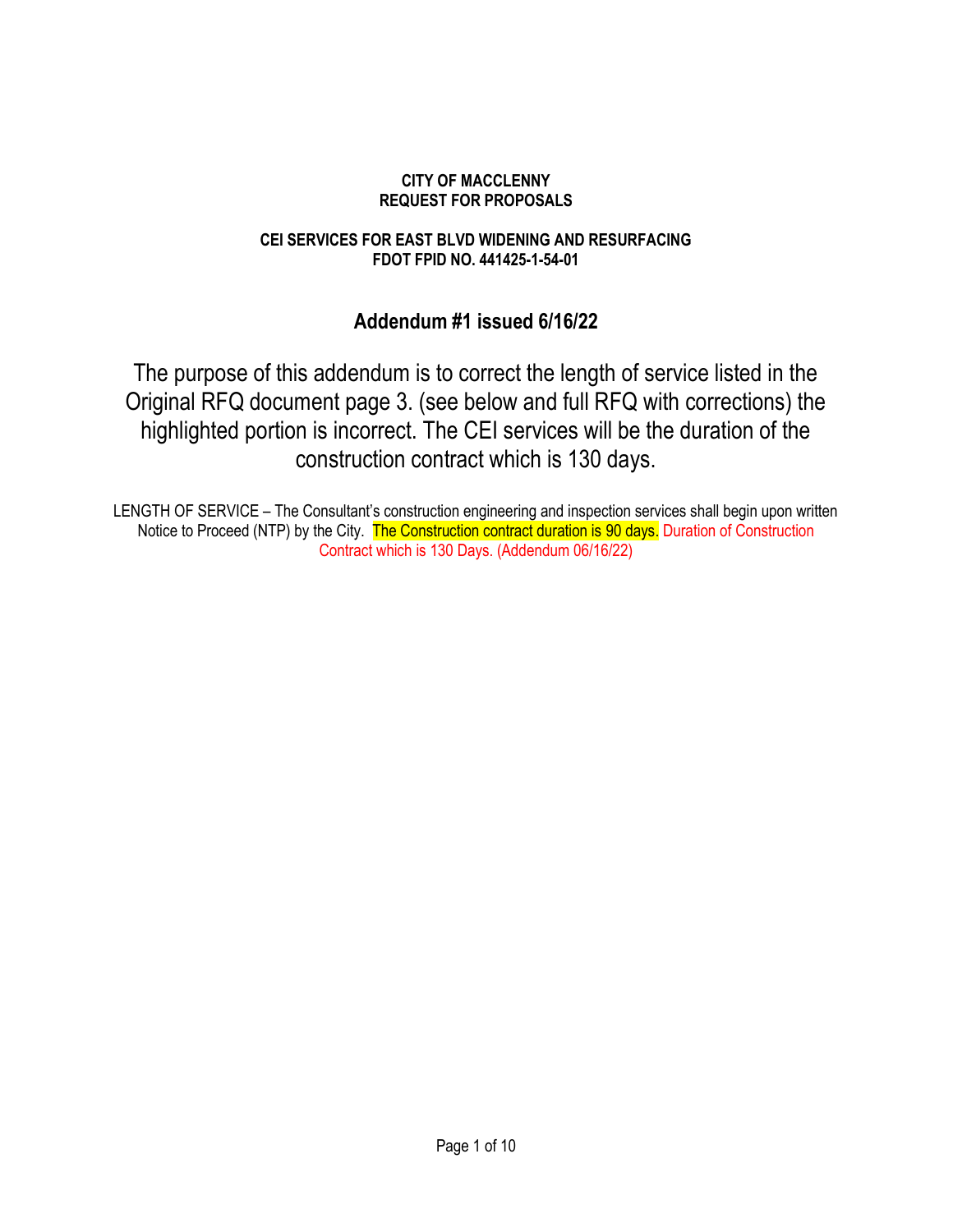### CITY OF MACCLENNY REQUEST FOR PROPOSALS

## CEI SERVICES FOR EAST BLVD WIDENING AND RESURFACING FDOT FPID NO. 441425-1-54-01

# Addendum #1 issued 6/16/22

The purpose of this addendum is to correct the length of service listed in the Original RFQ document page 3. (see below and full RFQ with corrections) the highlighted portion is incorrect. The CEI services will be the duration of the construction contract which is 130 days.

LENGTH OF SERVICE – The Consultant's construction engineering and inspection services shall begin upon written Notice to Proceed (NTP) by the City. The Construction contract duration is 90 days. Duration of Construction Contract which is 130 Days. (Addendum 06/16/22)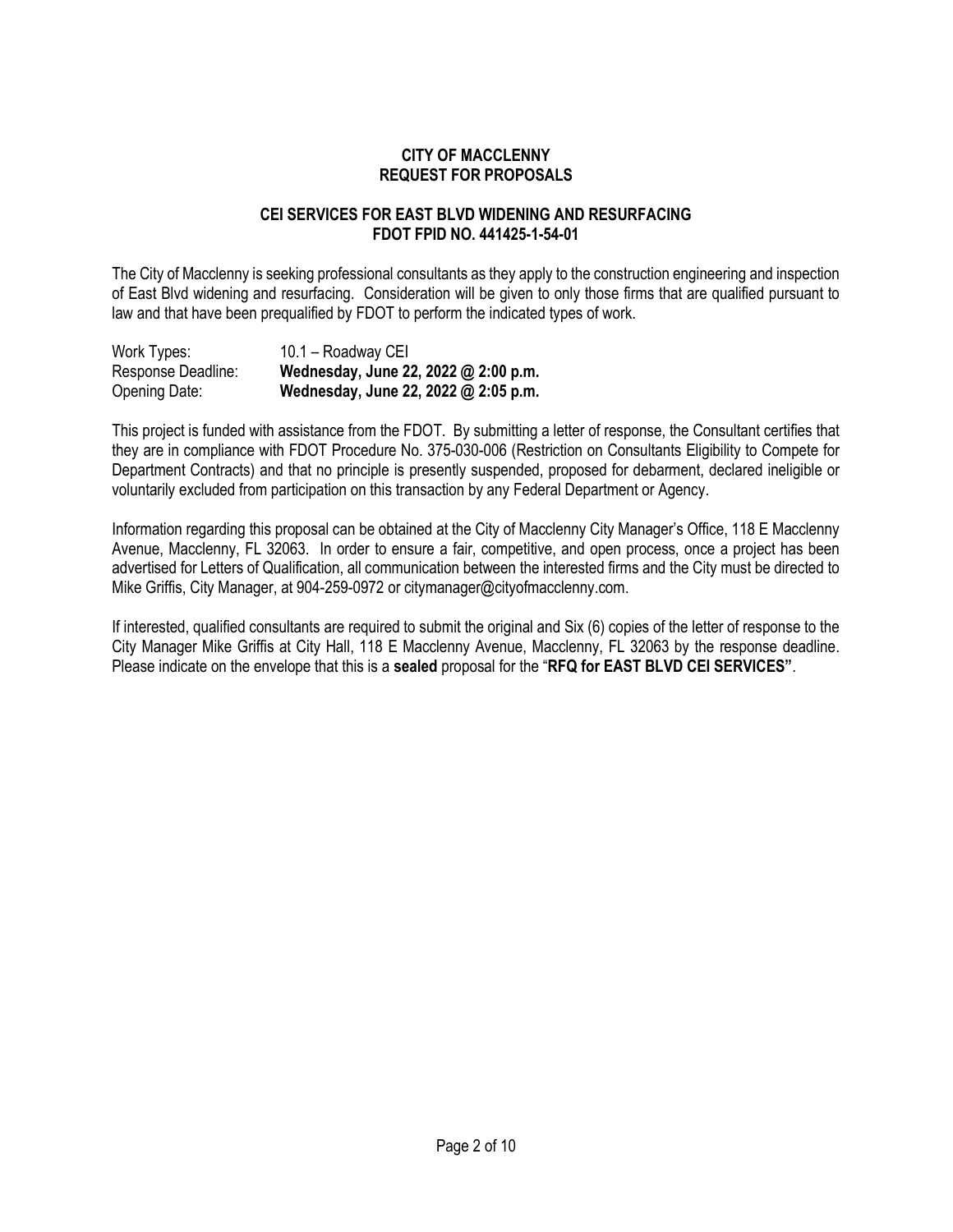#### CITY OF MACCLENNY REQUEST FOR PROPOSALS

#### CEI SERVICES FOR EAST BLVD WIDENING AND RESURFACING FDOT FPID NO. 441425-1-54-01

The City of Macclenny is seeking professional consultants as they apply to the construction engineering and inspection of East Blvd widening and resurfacing. Consideration will be given to only those firms that are qualified pursuant to law and that have been prequalified by FDOT to perform the indicated types of work.

| Work Types:        | 10.1 - Roadway CEI                   |
|--------------------|--------------------------------------|
| Response Deadline: | Wednesday, June 22, 2022 @ 2:00 p.m. |
| Opening Date:      | Wednesday, June 22, 2022 @ 2:05 p.m. |

This project is funded with assistance from the FDOT. By submitting a letter of response, the Consultant certifies that they are in compliance with FDOT Procedure No. 375-030-006 (Restriction on Consultants Eligibility to Compete for Department Contracts) and that no principle is presently suspended, proposed for debarment, declared ineligible or voluntarily excluded from participation on this transaction by any Federal Department or Agency.

Information regarding this proposal can be obtained at the City of Macclenny City Manager's Office, 118 E Macclenny Avenue, Macclenny, FL 32063. In order to ensure a fair, competitive, and open process, once a project has been advertised for Letters of Qualification, all communication between the interested firms and the City must be directed to Mike Griffis, City Manager, at 904-259-0972 or citymanager@cityofmacclenny.com.

If interested, qualified consultants are required to submit the original and Six (6) copies of the letter of response to the City Manager Mike Griffis at City Hall, 118 E Macclenny Avenue, Macclenny, FL 32063 by the response deadline. Please indicate on the envelope that this is a sealed proposal for the "RFQ for EAST BLVD CEI SERVICES".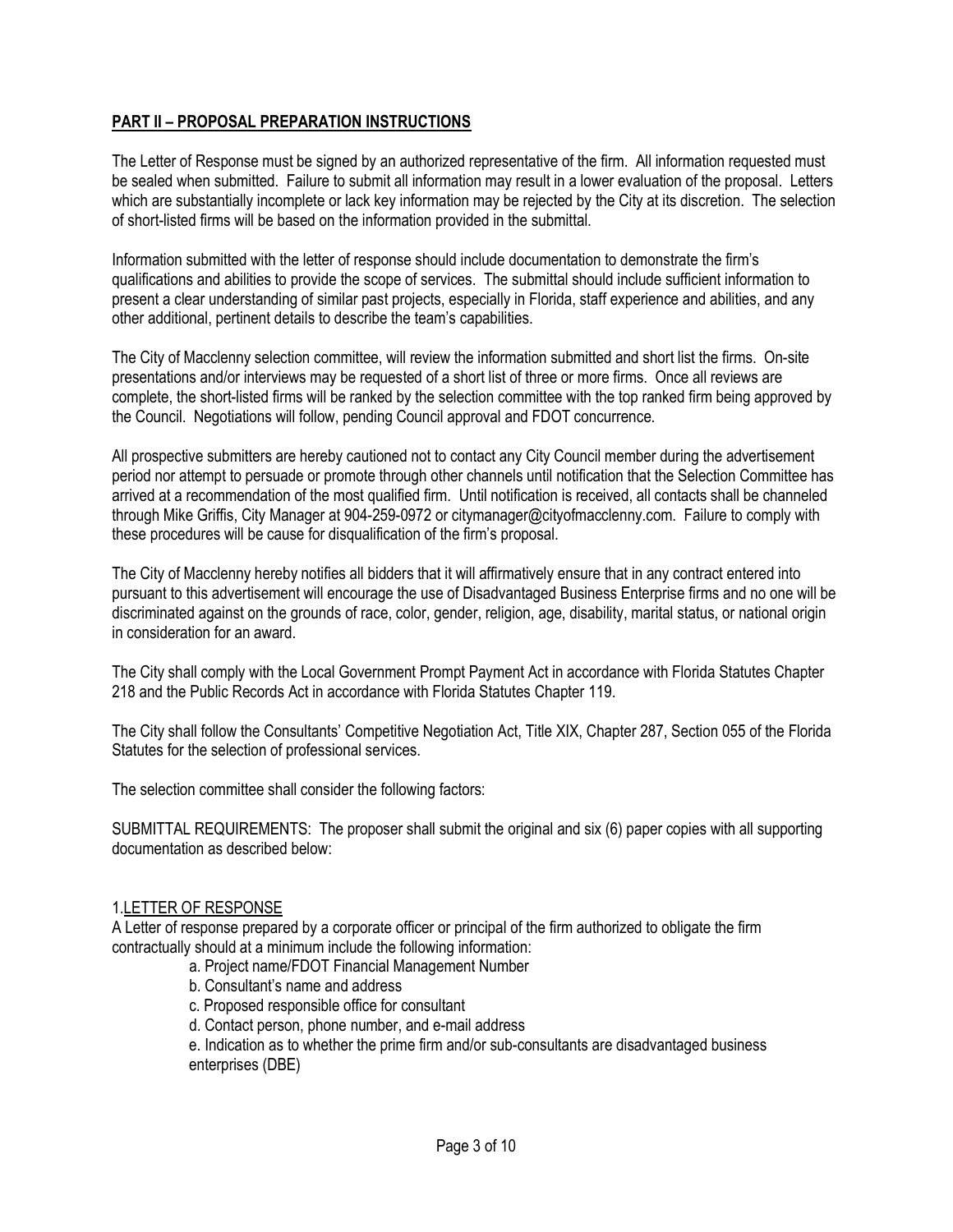# PART II – PROPOSAL PREPARATION INSTRUCTIONS

The Letter of Response must be signed by an authorized representative of the firm. All information requested must be sealed when submitted. Failure to submit all information may result in a lower evaluation of the proposal. Letters which are substantially incomplete or lack key information may be rejected by the City at its discretion. The selection of short-listed firms will be based on the information provided in the submittal.

Information submitted with the letter of response should include documentation to demonstrate the firm's qualifications and abilities to provide the scope of services. The submittal should include sufficient information to present a clear understanding of similar past projects, especially in Florida, staff experience and abilities, and any other additional, pertinent details to describe the team's capabilities.

The City of Macclenny selection committee, will review the information submitted and short list the firms. On-site presentations and/or interviews may be requested of a short list of three or more firms. Once all reviews are complete, the short-listed firms will be ranked by the selection committee with the top ranked firm being approved by the Council. Negotiations will follow, pending Council approval and FDOT concurrence.

All prospective submitters are hereby cautioned not to contact any City Council member during the advertisement period nor attempt to persuade or promote through other channels until notification that the Selection Committee has arrived at a recommendation of the most qualified firm. Until notification is received, all contacts shall be channeled through Mike Griffis, City Manager at 904-259-0972 or citymanager@cityofmacclenny.com. Failure to comply with these procedures will be cause for disqualification of the firm's proposal.

The City of Macclenny hereby notifies all bidders that it will affirmatively ensure that in any contract entered into pursuant to this advertisement will encourage the use of Disadvantaged Business Enterprise firms and no one will be discriminated against on the grounds of race, color, gender, religion, age, disability, marital status, or national origin in consideration for an award.

The City shall comply with the Local Government Prompt Payment Act in accordance with Florida Statutes Chapter 218 and the Public Records Act in accordance with Florida Statutes Chapter 119.

The City shall follow the Consultants' Competitive Negotiation Act, Title XIX, Chapter 287, Section 055 of the Florida Statutes for the selection of professional services.

The selection committee shall consider the following factors:

SUBMITTAL REQUIREMENTS: The proposer shall submit the original and six (6) paper copies with all supporting documentation as described below:

#### 1.LETTER OF RESPONSE

A Letter of response prepared by a corporate officer or principal of the firm authorized to obligate the firm contractually should at a minimum include the following information:

a. Project name/FDOT Financial Management Number

- b. Consultant's name and address
- c. Proposed responsible office for consultant
- d. Contact person, phone number, and e-mail address

e. Indication as to whether the prime firm and/or sub-consultants are disadvantaged business enterprises (DBE)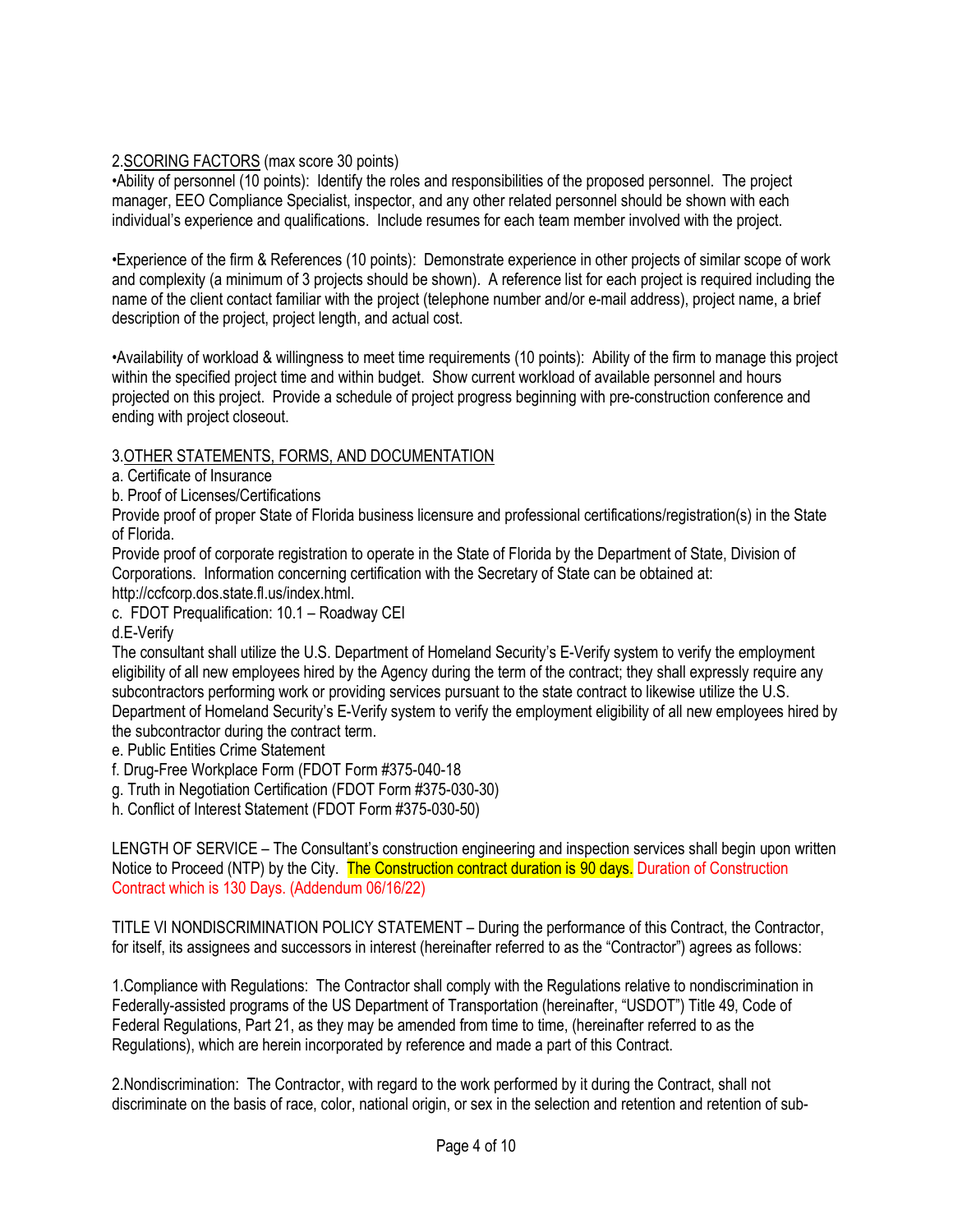# 2.SCORING FACTORS (max score 30 points)

•Ability of personnel (10 points): Identify the roles and responsibilities of the proposed personnel. The project manager, EEO Compliance Specialist, inspector, and any other related personnel should be shown with each individual's experience and qualifications. Include resumes for each team member involved with the project.

•Experience of the firm & References (10 points): Demonstrate experience in other projects of similar scope of work and complexity (a minimum of 3 projects should be shown). A reference list for each project is required including the name of the client contact familiar with the project (telephone number and/or e-mail address), project name, a brief description of the project, project length, and actual cost.

•Availability of workload & willingness to meet time requirements (10 points): Ability of the firm to manage this project within the specified project time and within budget. Show current workload of available personnel and hours projected on this project. Provide a schedule of project progress beginning with pre-construction conference and ending with project closeout.

# 3.OTHER STATEMENTS, FORMS, AND DOCUMENTATION

a. Certificate of Insurance

b. Proof of Licenses/Certifications

Provide proof of proper State of Florida business licensure and professional certifications/registration(s) in the State of Florida.

Provide proof of corporate registration to operate in the State of Florida by the Department of State, Division of Corporations. Information concerning certification with the Secretary of State can be obtained at: http://ccfcorp.dos.state.fl.us/index.html.

c. FDOT Prequalification: 10.1 – Roadway CEI

d.E-Verify

The consultant shall utilize the U.S. Department of Homeland Security's E-Verify system to verify the employment eligibility of all new employees hired by the Agency during the term of the contract; they shall expressly require any subcontractors performing work or providing services pursuant to the state contract to likewise utilize the U.S. Department of Homeland Security's E-Verify system to verify the employment eligibility of all new employees hired by the subcontractor during the contract term.

e. Public Entities Crime Statement

f. Drug-Free Workplace Form (FDOT Form #375-040-18

g. Truth in Negotiation Certification (FDOT Form #375-030-30)

h. Conflict of Interest Statement (FDOT Form #375-030-50)

LENGTH OF SERVICE – The Consultant's construction engineering and inspection services shall begin upon written Notice to Proceed (NTP) by the City. The Construction contract duration is 90 days. Duration of Construction Contract which is 130 Days. (Addendum 06/16/22)

TITLE VI NONDISCRIMINATION POLICY STATEMENT – During the performance of this Contract, the Contractor, for itself, its assignees and successors in interest (hereinafter referred to as the "Contractor") agrees as follows:

1.Compliance with Regulations: The Contractor shall comply with the Regulations relative to nondiscrimination in Federally-assisted programs of the US Department of Transportation (hereinafter, "USDOT") Title 49, Code of Federal Regulations, Part 21, as they may be amended from time to time, (hereinafter referred to as the Regulations), which are herein incorporated by reference and made a part of this Contract.

2.Nondiscrimination: The Contractor, with regard to the work performed by it during the Contract, shall not discriminate on the basis of race, color, national origin, or sex in the selection and retention and retention of sub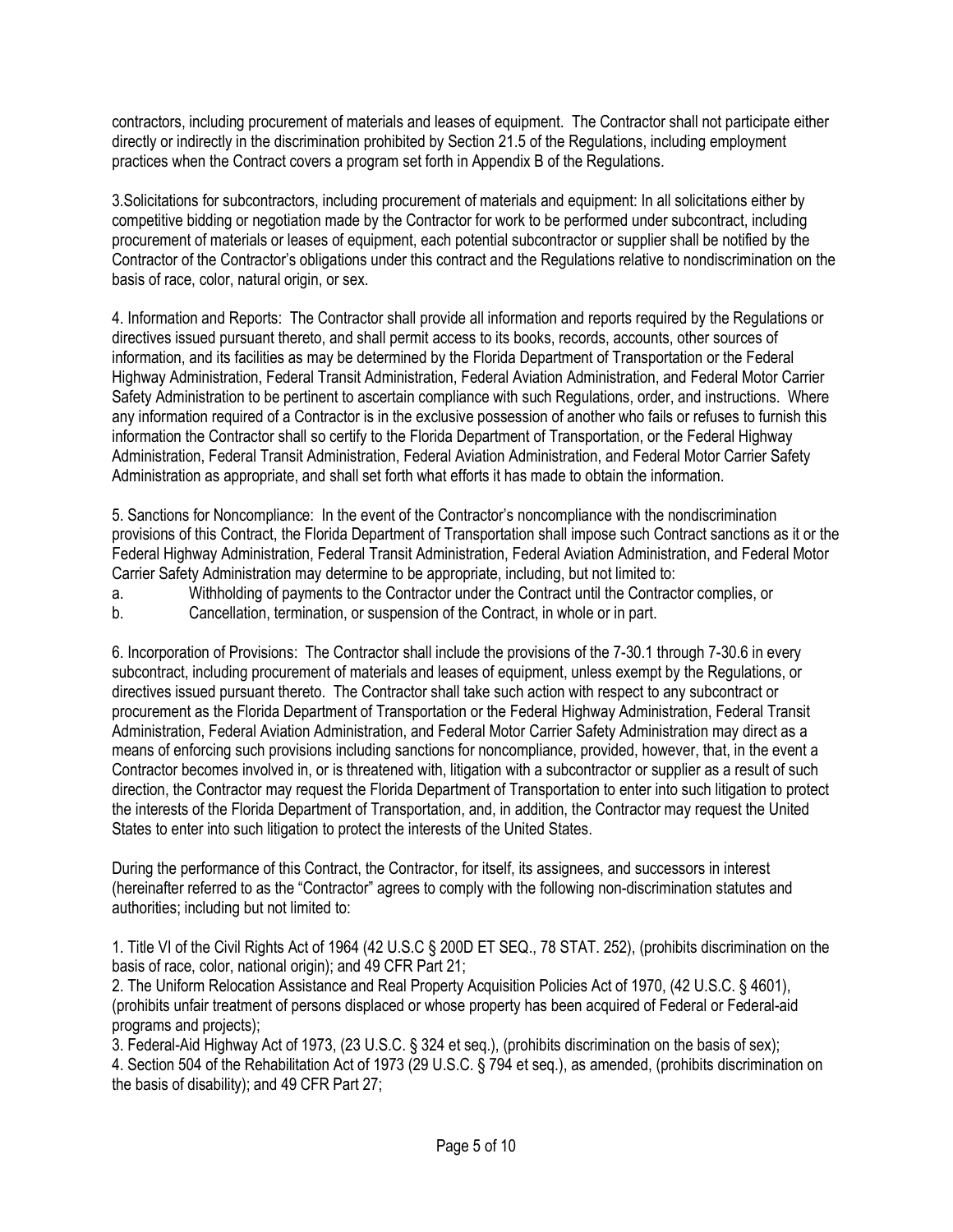contractors, including procurement of materials and leases of equipment. The Contractor shall not participate either directly or indirectly in the discrimination prohibited by Section 21.5 of the Regulations, including employment practices when the Contract covers a program set forth in Appendix B of the Regulations.

3.Solicitations for subcontractors, including procurement of materials and equipment: In all solicitations either by competitive bidding or negotiation made by the Contractor for work to be performed under subcontract, including procurement of materials or leases of equipment, each potential subcontractor or supplier shall be notified by the Contractor of the Contractor's obligations under this contract and the Regulations relative to nondiscrimination on the basis of race, color, natural origin, or sex.

4. Information and Reports: The Contractor shall provide all information and reports required by the Regulations or directives issued pursuant thereto, and shall permit access to its books, records, accounts, other sources of information, and its facilities as may be determined by the Florida Department of Transportation or the Federal Highway Administration, Federal Transit Administration, Federal Aviation Administration, and Federal Motor Carrier Safety Administration to be pertinent to ascertain compliance with such Regulations, order, and instructions. Where any information required of a Contractor is in the exclusive possession of another who fails or refuses to furnish this information the Contractor shall so certify to the Florida Department of Transportation, or the Federal Highway Administration, Federal Transit Administration, Federal Aviation Administration, and Federal Motor Carrier Safety Administration as appropriate, and shall set forth what efforts it has made to obtain the information.

5. Sanctions for Noncompliance: In the event of the Contractor's noncompliance with the nondiscrimination provisions of this Contract, the Florida Department of Transportation shall impose such Contract sanctions as it or the Federal Highway Administration, Federal Transit Administration, Federal Aviation Administration, and Federal Motor Carrier Safety Administration may determine to be appropriate, including, but not limited to:

a. Withholding of payments to the Contractor under the Contract until the Contractor complies, or

b. Cancellation, termination, or suspension of the Contract, in whole or in part.

6. Incorporation of Provisions: The Contractor shall include the provisions of the 7-30.1 through 7-30.6 in every subcontract, including procurement of materials and leases of equipment, unless exempt by the Regulations, or directives issued pursuant thereto. The Contractor shall take such action with respect to any subcontract or procurement as the Florida Department of Transportation or the Federal Highway Administration, Federal Transit Administration, Federal Aviation Administration, and Federal Motor Carrier Safety Administration may direct as a means of enforcing such provisions including sanctions for noncompliance, provided, however, that, in the event a Contractor becomes involved in, or is threatened with, litigation with a subcontractor or supplier as a result of such direction, the Contractor may request the Florida Department of Transportation to enter into such litigation to protect the interests of the Florida Department of Transportation, and, in addition, the Contractor may request the United States to enter into such litigation to protect the interests of the United States.

During the performance of this Contract, the Contractor, for itself, its assignees, and successors in interest (hereinafter referred to as the "Contractor" agrees to comply with the following non-discrimination statutes and authorities; including but not limited to:

1. Title VI of the Civil Rights Act of 1964 (42 U.S.C § 200D ET SEQ., 78 STAT. 252), (prohibits discrimination on the basis of race, color, national origin); and 49 CFR Part 21;

2. The Uniform Relocation Assistance and Real Property Acquisition Policies Act of 1970, (42 U.S.C. § 4601), (prohibits unfair treatment of persons displaced or whose property has been acquired of Federal or Federal-aid programs and projects);

3. Federal-Aid Highway Act of 1973, (23 U.S.C. § 324 et seq.), (prohibits discrimination on the basis of sex);

4. Section 504 of the Rehabilitation Act of 1973 (29 U.S.C. § 794 et seq.), as amended, (prohibits discrimination on the basis of disability); and 49 CFR Part 27;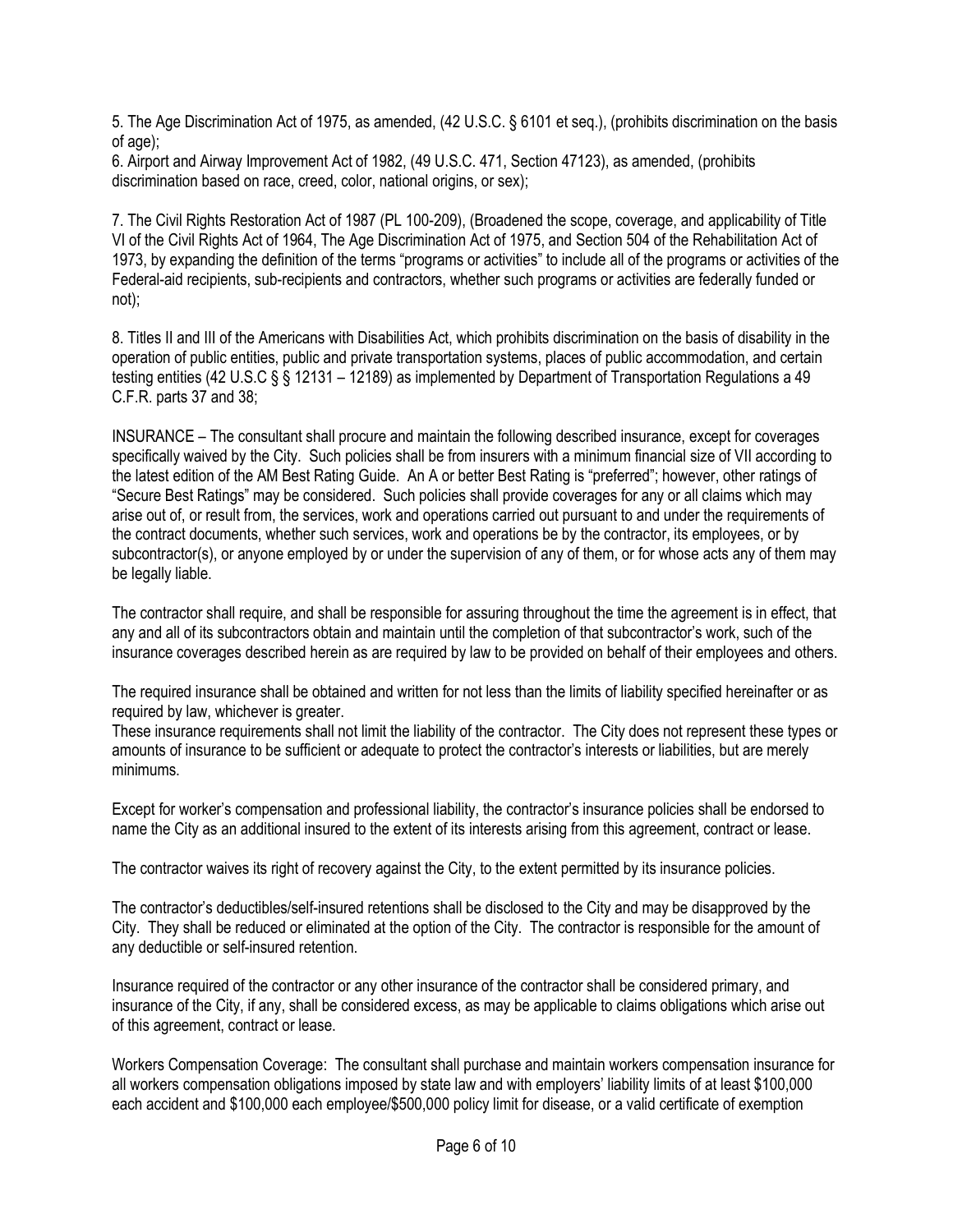5. The Age Discrimination Act of 1975, as amended, (42 U.S.C. § 6101 et seq.), (prohibits discrimination on the basis of age);

6. Airport and Airway Improvement Act of 1982, (49 U.S.C. 471, Section 47123), as amended, (prohibits discrimination based on race, creed, color, national origins, or sex);

7. The Civil Rights Restoration Act of 1987 (PL 100-209), (Broadened the scope, coverage, and applicability of Title VI of the Civil Rights Act of 1964, The Age Discrimination Act of 1975, and Section 504 of the Rehabilitation Act of 1973, by expanding the definition of the terms "programs or activities" to include all of the programs or activities of the Federal-aid recipients, sub-recipients and contractors, whether such programs or activities are federally funded or not);

8. Titles II and III of the Americans with Disabilities Act, which prohibits discrimination on the basis of disability in the operation of public entities, public and private transportation systems, places of public accommodation, and certain testing entities (42 U.S.C § § 12131 – 12189) as implemented by Department of Transportation Regulations a 49 C.F.R. parts 37 and 38;

INSURANCE – The consultant shall procure and maintain the following described insurance, except for coverages specifically waived by the City. Such policies shall be from insurers with a minimum financial size of VII according to the latest edition of the AM Best Rating Guide. An A or better Best Rating is "preferred"; however, other ratings of "Secure Best Ratings" may be considered. Such policies shall provide coverages for any or all claims which may arise out of, or result from, the services, work and operations carried out pursuant to and under the requirements of the contract documents, whether such services, work and operations be by the contractor, its employees, or by subcontractor(s), or anyone employed by or under the supervision of any of them, or for whose acts any of them may be legally liable.

The contractor shall require, and shall be responsible for assuring throughout the time the agreement is in effect, that any and all of its subcontractors obtain and maintain until the completion of that subcontractor's work, such of the insurance coverages described herein as are required by law to be provided on behalf of their employees and others.

The required insurance shall be obtained and written for not less than the limits of liability specified hereinafter or as required by law, whichever is greater.

These insurance requirements shall not limit the liability of the contractor. The City does not represent these types or amounts of insurance to be sufficient or adequate to protect the contractor's interests or liabilities, but are merely minimums.

Except for worker's compensation and professional liability, the contractor's insurance policies shall be endorsed to name the City as an additional insured to the extent of its interests arising from this agreement, contract or lease.

The contractor waives its right of recovery against the City, to the extent permitted by its insurance policies.

The contractor's deductibles/self-insured retentions shall be disclosed to the City and may be disapproved by the City. They shall be reduced or eliminated at the option of the City. The contractor is responsible for the amount of any deductible or self-insured retention.

Insurance required of the contractor or any other insurance of the contractor shall be considered primary, and insurance of the City, if any, shall be considered excess, as may be applicable to claims obligations which arise out of this agreement, contract or lease.

Workers Compensation Coverage: The consultant shall purchase and maintain workers compensation insurance for all workers compensation obligations imposed by state law and with employers' liability limits of at least \$100,000 each accident and \$100,000 each employee/\$500,000 policy limit for disease, or a valid certificate of exemption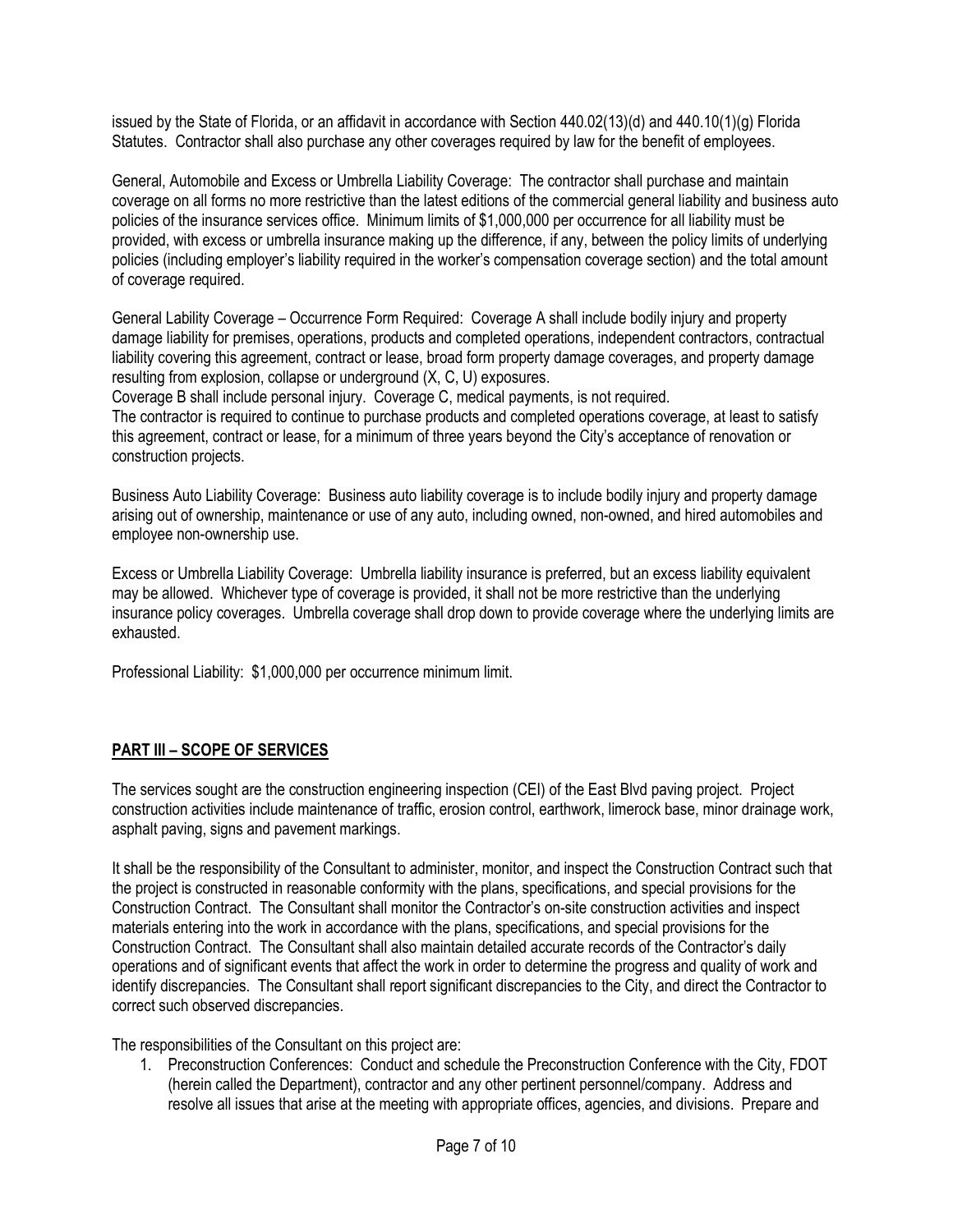issued by the State of Florida, or an affidavit in accordance with Section 440.02(13)(d) and 440.10(1)(g) Florida Statutes. Contractor shall also purchase any other coverages required by law for the benefit of employees.

General, Automobile and Excess or Umbrella Liability Coverage: The contractor shall purchase and maintain coverage on all forms no more restrictive than the latest editions of the commercial general liability and business auto policies of the insurance services office. Minimum limits of \$1,000,000 per occurrence for all liability must be provided, with excess or umbrella insurance making up the difference, if any, between the policy limits of underlying policies (including employer's liability required in the worker's compensation coverage section) and the total amount of coverage required.

General Lability Coverage – Occurrence Form Required: Coverage A shall include bodily injury and property damage liability for premises, operations, products and completed operations, independent contractors, contractual liability covering this agreement, contract or lease, broad form property damage coverages, and property damage resulting from explosion, collapse or underground (X, C, U) exposures.

Coverage B shall include personal injury. Coverage C, medical payments, is not required.

The contractor is required to continue to purchase products and completed operations coverage, at least to satisfy this agreement, contract or lease, for a minimum of three years beyond the City's acceptance of renovation or construction projects.

Business Auto Liability Coverage: Business auto liability coverage is to include bodily injury and property damage arising out of ownership, maintenance or use of any auto, including owned, non-owned, and hired automobiles and employee non-ownership use.

Excess or Umbrella Liability Coverage: Umbrella liability insurance is preferred, but an excess liability equivalent may be allowed. Whichever type of coverage is provided, it shall not be more restrictive than the underlying insurance policy coverages. Umbrella coverage shall drop down to provide coverage where the underlying limits are exhausted.

Professional Liability: \$1,000,000 per occurrence minimum limit.

# PART III – SCOPE OF SERVICES

The services sought are the construction engineering inspection (CEI) of the East Blvd paving project. Project construction activities include maintenance of traffic, erosion control, earthwork, limerock base, minor drainage work, asphalt paving, signs and pavement markings.

It shall be the responsibility of the Consultant to administer, monitor, and inspect the Construction Contract such that the project is constructed in reasonable conformity with the plans, specifications, and special provisions for the Construction Contract. The Consultant shall monitor the Contractor's on-site construction activities and inspect materials entering into the work in accordance with the plans, specifications, and special provisions for the Construction Contract. The Consultant shall also maintain detailed accurate records of the Contractor's daily operations and of significant events that affect the work in order to determine the progress and quality of work and identify discrepancies. The Consultant shall report significant discrepancies to the City, and direct the Contractor to correct such observed discrepancies.

The responsibilities of the Consultant on this project are:

1. Preconstruction Conferences: Conduct and schedule the Preconstruction Conference with the City, FDOT (herein called the Department), contractor and any other pertinent personnel/company. Address and resolve all issues that arise at the meeting with appropriate offices, agencies, and divisions. Prepare and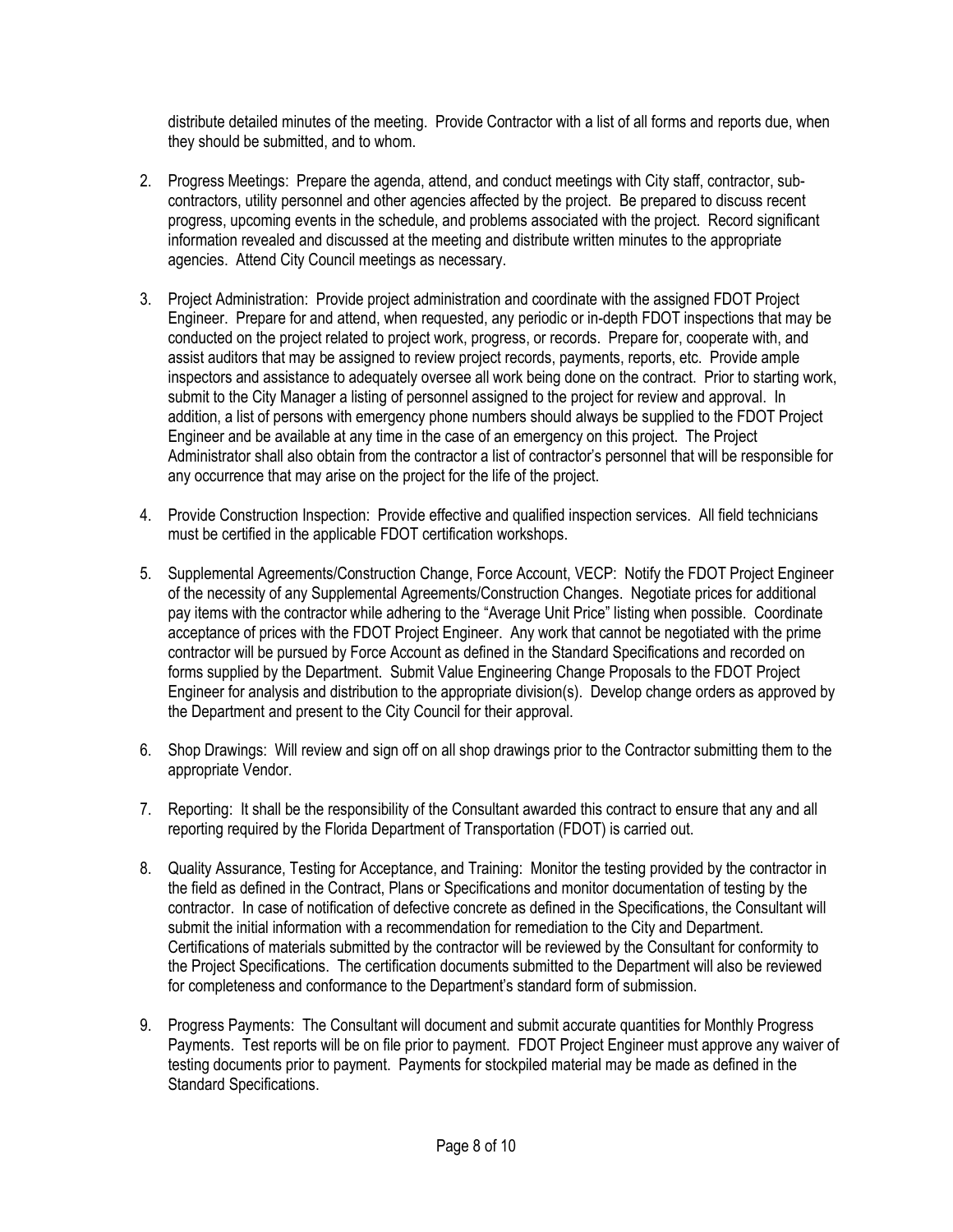distribute detailed minutes of the meeting. Provide Contractor with a list of all forms and reports due, when they should be submitted, and to whom.

- 2. Progress Meetings: Prepare the agenda, attend, and conduct meetings with City staff, contractor, subcontractors, utility personnel and other agencies affected by the project. Be prepared to discuss recent progress, upcoming events in the schedule, and problems associated with the project. Record significant information revealed and discussed at the meeting and distribute written minutes to the appropriate agencies. Attend City Council meetings as necessary.
- 3. Project Administration: Provide project administration and coordinate with the assigned FDOT Project Engineer. Prepare for and attend, when requested, any periodic or in-depth FDOT inspections that may be conducted on the project related to project work, progress, or records. Prepare for, cooperate with, and assist auditors that may be assigned to review project records, payments, reports, etc. Provide ample inspectors and assistance to adequately oversee all work being done on the contract. Prior to starting work, submit to the City Manager a listing of personnel assigned to the project for review and approval. In addition, a list of persons with emergency phone numbers should always be supplied to the FDOT Project Engineer and be available at any time in the case of an emergency on this project. The Project Administrator shall also obtain from the contractor a list of contractor's personnel that will be responsible for any occurrence that may arise on the project for the life of the project.
- 4. Provide Construction Inspection: Provide effective and qualified inspection services. All field technicians must be certified in the applicable FDOT certification workshops.
- 5. Supplemental Agreements/Construction Change, Force Account, VECP: Notify the FDOT Project Engineer of the necessity of any Supplemental Agreements/Construction Changes. Negotiate prices for additional pay items with the contractor while adhering to the "Average Unit Price" listing when possible. Coordinate acceptance of prices with the FDOT Project Engineer. Any work that cannot be negotiated with the prime contractor will be pursued by Force Account as defined in the Standard Specifications and recorded on forms supplied by the Department. Submit Value Engineering Change Proposals to the FDOT Project Engineer for analysis and distribution to the appropriate division(s). Develop change orders as approved by the Department and present to the City Council for their approval.
- 6. Shop Drawings: Will review and sign off on all shop drawings prior to the Contractor submitting them to the appropriate Vendor.
- 7. Reporting: It shall be the responsibility of the Consultant awarded this contract to ensure that any and all reporting required by the Florida Department of Transportation (FDOT) is carried out.
- 8. Quality Assurance, Testing for Acceptance, and Training: Monitor the testing provided by the contractor in the field as defined in the Contract, Plans or Specifications and monitor documentation of testing by the contractor. In case of notification of defective concrete as defined in the Specifications, the Consultant will submit the initial information with a recommendation for remediation to the City and Department. Certifications of materials submitted by the contractor will be reviewed by the Consultant for conformity to the Project Specifications. The certification documents submitted to the Department will also be reviewed for completeness and conformance to the Department's standard form of submission.
- 9. Progress Payments: The Consultant will document and submit accurate quantities for Monthly Progress Payments. Test reports will be on file prior to payment. FDOT Project Engineer must approve any waiver of testing documents prior to payment. Payments for stockpiled material may be made as defined in the Standard Specifications.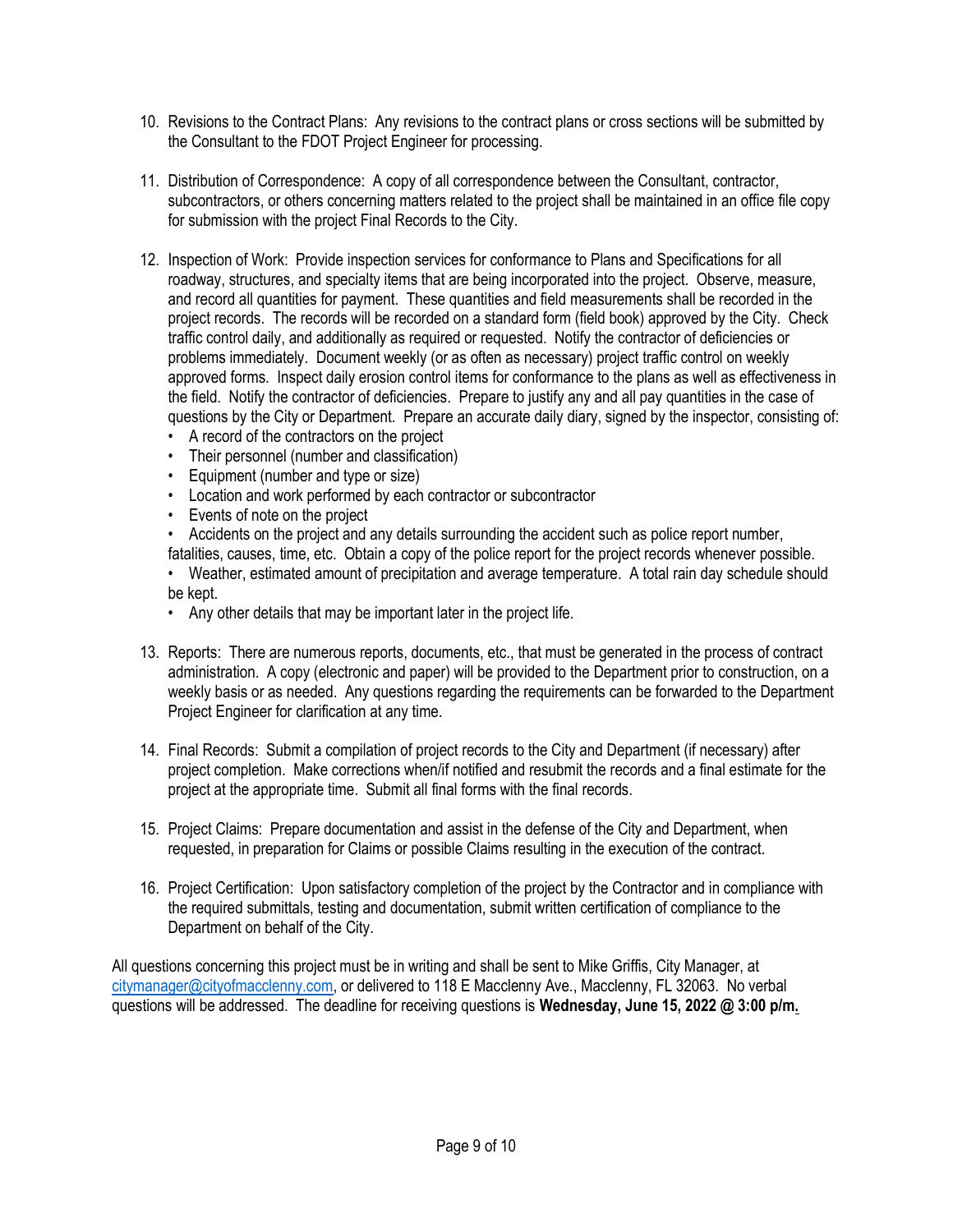- 10. Revisions to the Contract Plans: Any revisions to the contract plans or cross sections will be submitted by the Consultant to the FDOT Project Engineer for processing.
- 11. Distribution of Correspondence: A copy of all correspondence between the Consultant, contractor, subcontractors, or others concerning matters related to the project shall be maintained in an office file copy for submission with the project Final Records to the City.
- 12. Inspection of Work: Provide inspection services for conformance to Plans and Specifications for all roadway, structures, and specialty items that are being incorporated into the project. Observe, measure, and record all quantities for payment. These quantities and field measurements shall be recorded in the project records. The records will be recorded on a standard form (field book) approved by the City. Check traffic control daily, and additionally as required or requested. Notify the contractor of deficiencies or problems immediately. Document weekly (or as often as necessary) project traffic control on weekly approved forms. Inspect daily erosion control items for conformance to the plans as well as effectiveness in the field. Notify the contractor of deficiencies. Prepare to justify any and all pay quantities in the case of questions by the City or Department. Prepare an accurate daily diary, signed by the inspector, consisting of:
	- A record of the contractors on the project
	- Their personnel (number and classification)
	- Equipment (number and type or size)
	- Location and work performed by each contractor or subcontractor
	- Events of note on the project
	- Accidents on the project and any details surrounding the accident such as police report number,

fatalities, causes, time, etc. Obtain a copy of the police report for the project records whenever possible.

• Weather, estimated amount of precipitation and average temperature. A total rain day schedule should be kept.

- Any other details that may be important later in the project life.
- 13. Reports: There are numerous reports, documents, etc., that must be generated in the process of contract administration. A copy (electronic and paper) will be provided to the Department prior to construction, on a weekly basis or as needed. Any questions regarding the requirements can be forwarded to the Department Project Engineer for clarification at any time.
- 14. Final Records: Submit a compilation of project records to the City and Department (if necessary) after project completion. Make corrections when/if notified and resubmit the records and a final estimate for the project at the appropriate time. Submit all final forms with the final records.
- 15. Project Claims: Prepare documentation and assist in the defense of the City and Department, when requested, in preparation for Claims or possible Claims resulting in the execution of the contract.
- 16. Project Certification: Upon satisfactory completion of the project by the Contractor and in compliance with the required submittals, testing and documentation, submit written certification of compliance to the Department on behalf of the City.

All questions concerning this project must be in writing and shall be sent to Mike Griffis, City Manager, at citymanager@cityofmacclenny.com, or delivered to 118 E Macclenny Ave., Macclenny, FL 32063. No verbal questions will be addressed. The deadline for receiving questions is Wednesday, June 15, 2022 @ 3:00 p/m.